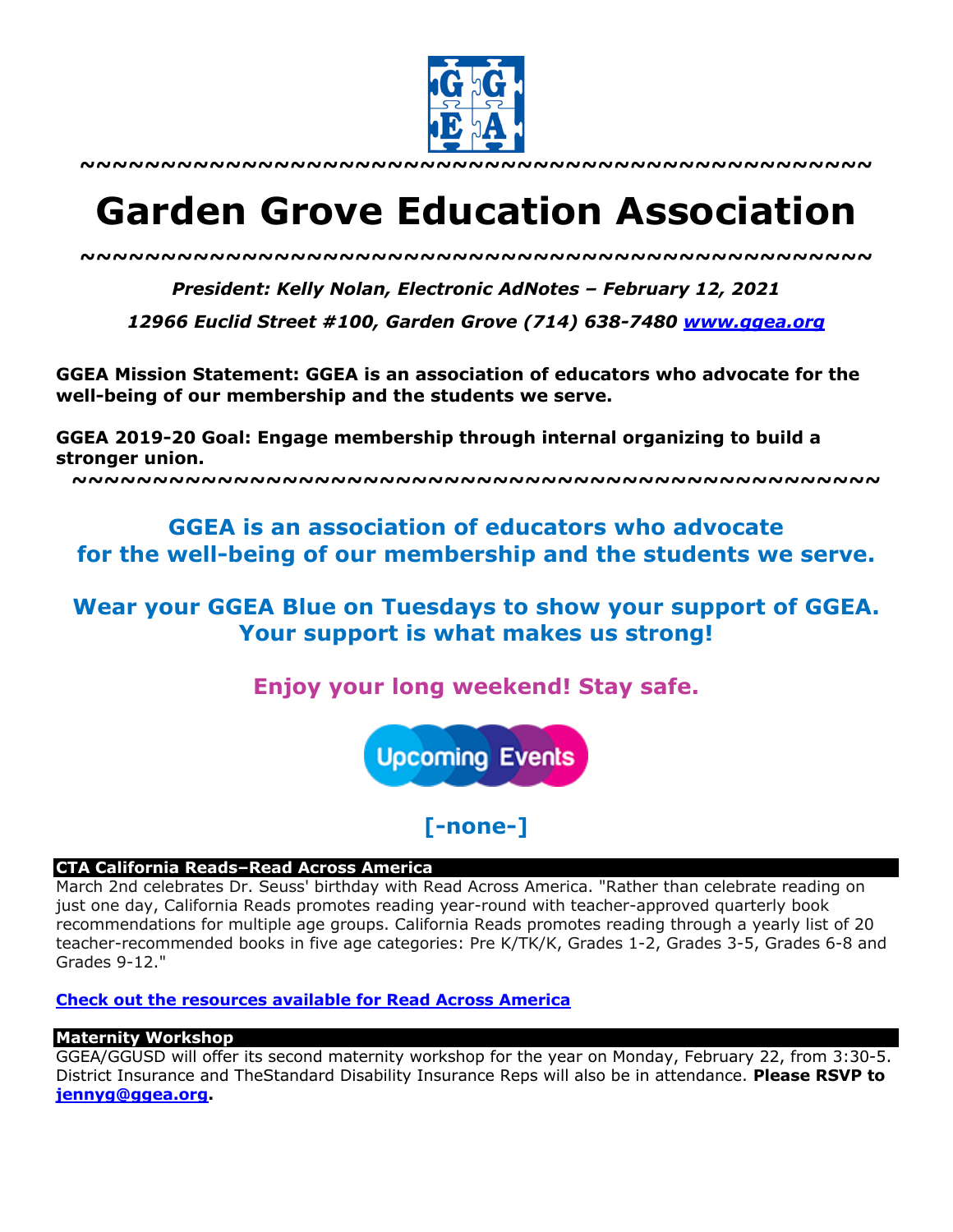

**~~~~~~~~~~~~~~~~~~~~~~~~~~~~~~~~~~~~~~~~~~~~~~~~~**

# **Garden Grove Education Association**

*~~~~~~~~~~~~~~~~~~~~~~~~~~~~~~~~~~~~~~~~~~~~~~~~~*

*President: Kelly Nolan, Electronic AdNotes – February 12, 2021*

*12966 Euclid Street #100, Garden Grove (714) 638-7480 www.ggea.org*

**GGEA Mission Statement: GGEA is an association of educators who advocate for the well-being of our membership and the students we serve.** 

**GGEA 2019-20 Goal: Engage membership through internal organizing to build a stronger union.**

**~~~~~~~~~~~~~~~~~~~~~~~~~~~~~~~~~~~~~~~~~~~~~~~~~~**

### **GGEA is an association of educators who advocate for the well-being of our membership and the students we serve.**

**Wear your GGEA Blue on Tuesdays to show your support of GGEA. Your support is what makes us strong!**

**Enjoy your long weekend! Stay safe.**



## **[-none-]**

#### **CTA California Reads–Read Across America**

March 2nd celebrates Dr. Seuss' birthday with Read Across America. "Rather than celebrate reading on just one day, California Reads promotes reading year-round with teacher-approved quarterly book recommendations for multiple age groups. California Reads promotes reading through a yearly list of 20 teacher-recommended books in five age categories: Pre K/TK/K, Grades 1-2, Grades 3-5, Grades 6-8 and Grades 9-12."

#### **Check out the resources available for Read Across America**

#### **Maternity Workshop**

GGEA/GGUSD will offer its second maternity workshop for the year on Monday, February 22, from 3:30-5. District Insurance and TheStandard Disability Insurance Reps will also be in attendance. **Please RSVP to jennyg@ggea.org.**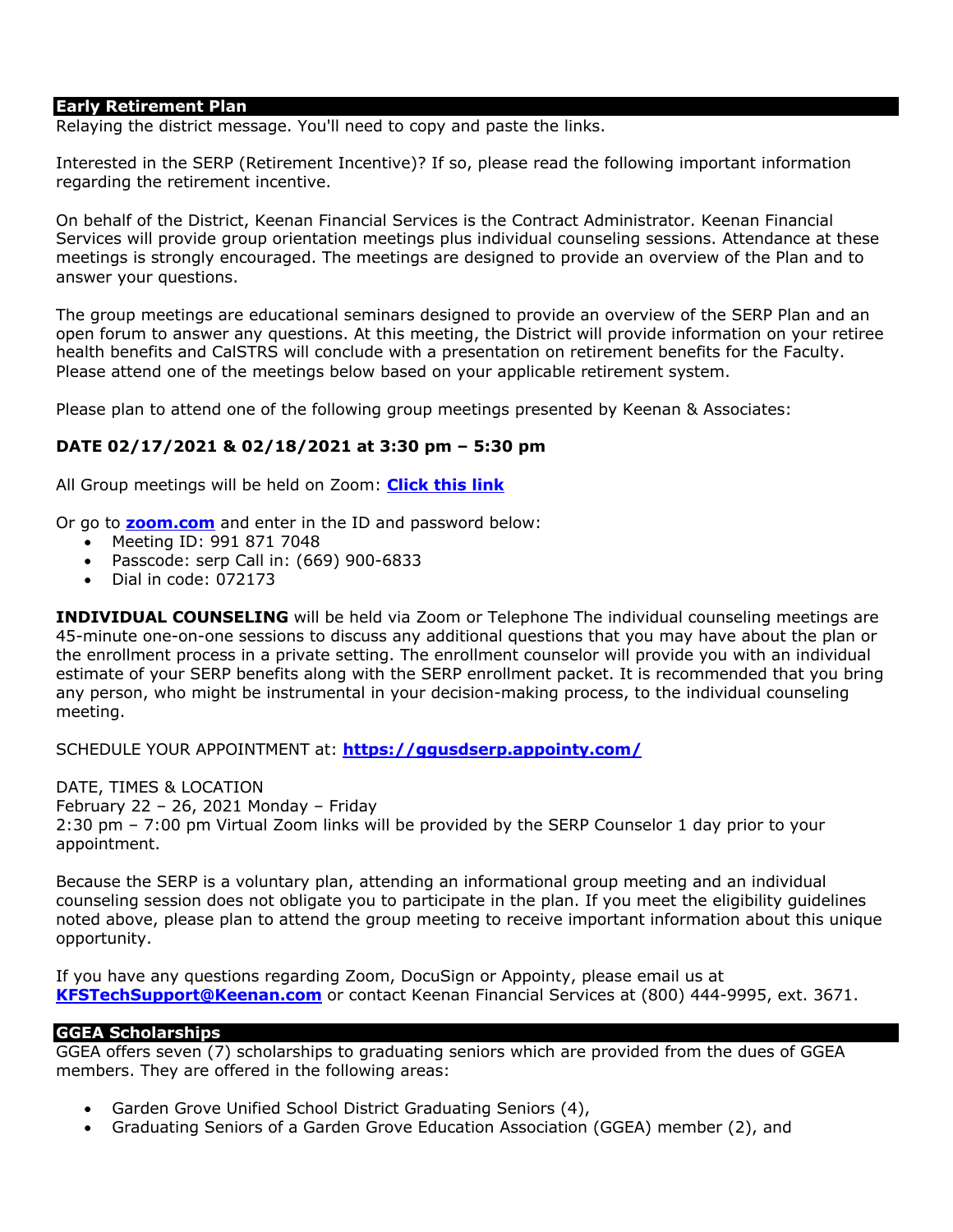#### **Early Retirement Plan**

Relaying the district message. You'll need to copy and paste the links.

Interested in the SERP (Retirement Incentive)? If so, please read the following important information regarding the retirement incentive.

On behalf of the District, Keenan Financial Services is the Contract Administrator. Keenan Financial Services will provide group orientation meetings plus individual counseling sessions. Attendance at these meetings is strongly encouraged. The meetings are designed to provide an overview of the Plan and to answer your questions.

The group meetings are educational seminars designed to provide an overview of the SERP Plan and an open forum to answer any questions. At this meeting, the District will provide information on your retiree health benefits and CalSTRS will conclude with a presentation on retirement benefits for the Faculty. Please attend one of the meetings below based on your applicable retirement system.

Please plan to attend one of the following group meetings presented by Keenan & Associates:

#### **DATE 02/17/2021 & 02/18/2021 at 3:30 pm – 5:30 pm**

All Group meetings will be held on Zoom: **Click this link**

Or go to **zoom.com** and enter in the ID and password below:

- Meeting ID: 991 871 7048
- Passcode: serp Call in: (669) 900-6833
- Dial in code: 072173

**INDIVIDUAL COUNSELING** will be held via Zoom or Telephone The individual counseling meetings are 45-minute one-on-one sessions to discuss any additional questions that you may have about the plan or the enrollment process in a private setting. The enrollment counselor will provide you with an individual estimate of your SERP benefits along with the SERP enrollment packet. It is recommended that you bring any person, who might be instrumental in your decision-making process, to the individual counseling meeting.

SCHEDULE YOUR APPOINTMENT at: **https://ggusdserp.appointy.com/**

DATE, TIMES & LOCATION

February 22 – 26, 2021 Monday – Friday 2:30 pm – 7:00 pm Virtual Zoom links will be provided by the SERP Counselor 1 day prior to your appointment.

Because the SERP is a voluntary plan, attending an informational group meeting and an individual counseling session does not obligate you to participate in the plan. If you meet the eligibility guidelines noted above, please plan to attend the group meeting to receive important information about this unique opportunity.

If you have any questions regarding Zoom, DocuSign or Appointy, please email us at **KFSTechSupport@Keenan.com** or contact Keenan Financial Services at (800) 444-9995, ext. 3671.

#### **GGEA Scholarships**

GGEA offers seven (7) scholarships to graduating seniors which are provided from the dues of GGEA members. They are offered in the following areas:

- Garden Grove Unified School District Graduating Seniors (4),
- Graduating Seniors of a Garden Grove Education Association (GGEA) member (2), and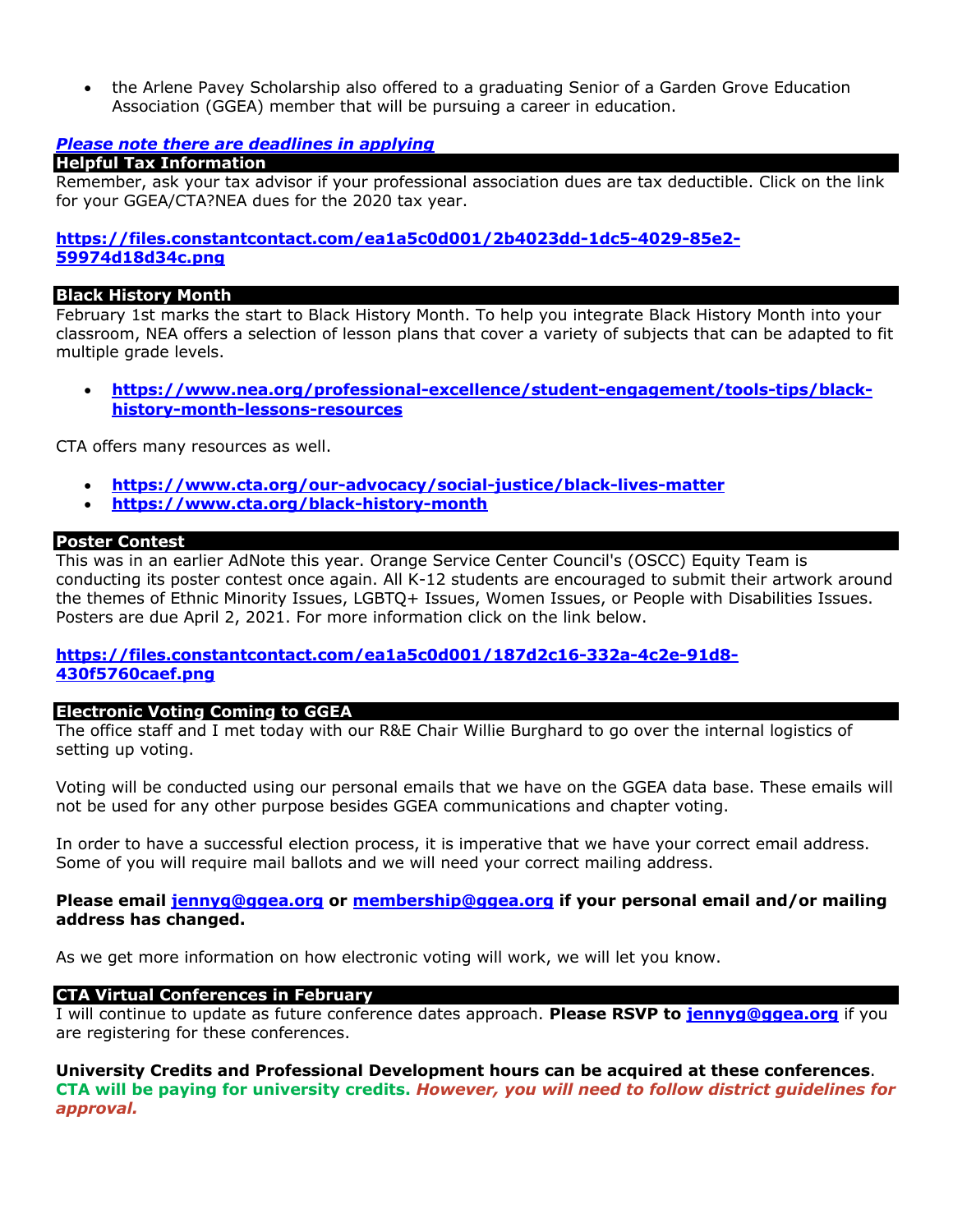• the Arlene Pavey Scholarship also offered to a graduating Senior of a Garden Grove Education Association (GGEA) member that will be pursuing a career in education.

#### *Please note there are deadlines in applying*

#### **Helpful Tax Information**

Remember, ask your tax advisor if your professional association dues are tax deductible. Click on the link for your GGEA/CTA?NEA dues for the 2020 tax year.

#### **https://files.constantcontact.com/ea1a5c0d001/2b4023dd-1dc5-4029-85e2- 59974d18d34c.png**

#### **Black History Month**

February 1st marks the start to Black History Month. To help you integrate Black History Month into your classroom, NEA offers a selection of lesson plans that cover a variety of subjects that can be adapted to fit multiple grade levels.

• **https://www.nea.org/professional-excellence/student-engagement/tools-tips/blackhistory-month-lessons-resources**

CTA offers many resources as well.

- **https://www.cta.org/our-advocacy/social-justice/black-lives-matter**
- **https://www.cta.org/black-history-month**

#### **Poster Contest**

This was in an earlier AdNote this year. Orange Service Center Council's (OSCC) Equity Team is conducting its poster contest once again. All K-12 students are encouraged to submit their artwork around the themes of Ethnic Minority Issues, LGBTQ+ Issues, Women Issues, or People with Disabilities Issues. Posters are due April 2, 2021. For more information click on the link below.

#### **https://files.constantcontact.com/ea1a5c0d001/187d2c16-332a-4c2e-91d8- 430f5760caef.png**

#### **Electronic Voting Coming to GGEA**

The office staff and I met today with our R&E Chair Willie Burghard to go over the internal logistics of setting up voting.

Voting will be conducted using our personal emails that we have on the GGEA data base. These emails will not be used for any other purpose besides GGEA communications and chapter voting.

In order to have a successful election process, it is imperative that we have your correct email address. Some of you will require mail ballots and we will need your correct mailing address.

**Please email jennyg@ggea.org or membership@ggea.org if your personal email and/or mailing address has changed.**

As we get more information on how electronic voting will work, we will let you know.

#### **CTA Virtual Conferences in February**

I will continue to update as future conference dates approach. **Please RSVP to jennyg@ggea.org** if you are registering for these conferences.

**University Credits and Professional Development hours can be acquired at these conferences**. **CTA will be paying for university credits.** *However, you will need to follow district guidelines for approval.*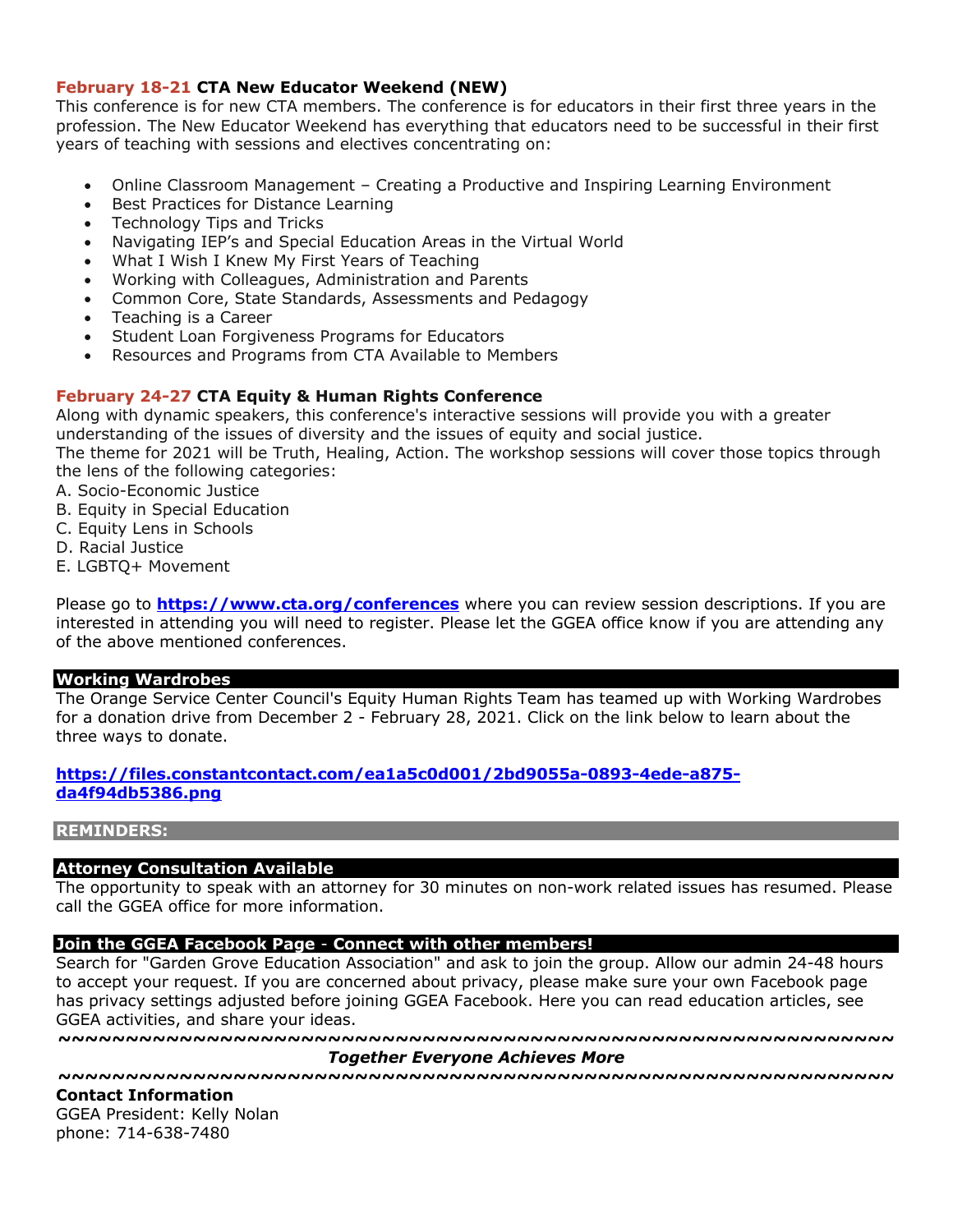#### **February 18-21 CTA New Educator Weekend (NEW)**

This conference is for new CTA members. The conference is for educators in their first three years in the profession. The New Educator Weekend has everything that educators need to be successful in their first years of teaching with sessions and electives concentrating on:

- Online Classroom Management Creating a Productive and Inspiring Learning Environment
- Best Practices for Distance Learning
- Technology Tips and Tricks
- Navigating IEP's and Special Education Areas in the Virtual World
- What I Wish I Knew My First Years of Teaching
- Working with Colleagues, Administration and Parents
- Common Core, State Standards, Assessments and Pedagogy
- Teaching is a Career
- Student Loan Forgiveness Programs for Educators
- Resources and Programs from CTA Available to Members

#### **February 24-27 CTA Equity & Human Rights Conference**

Along with dynamic speakers, this conference's interactive sessions will provide you with a greater understanding of the issues of diversity and the issues of equity and social justice.

The theme for 2021 will be Truth, Healing, Action. The workshop sessions will cover those topics through the lens of the following categories:

A. Socio-Economic Justice

- B. Equity in Special Education
- C. Equity Lens in Schools
- D. Racial Justice
- E. LGBTQ+ Movement

Please go to **https://www.cta.org/conferences** where you can review session descriptions. If you are interested in attending you will need to register. Please let the GGEA office know if you are attending any of the above mentioned conferences.

#### **Working Wardrobes**

The Orange Service Center Council's Equity Human Rights Team has teamed up with Working Wardrobes for a donation drive from December 2 - February 28, 2021. Click on the link below to learn about the three ways to donate.

#### **https://files.constantcontact.com/ea1a5c0d001/2bd9055a-0893-4ede-a875 da4f94db5386.png**

**REMINDERS:**

#### **Attorney Consultation Available**

The opportunity to speak with an attorney for 30 minutes on non-work related issues has resumed. Please call the GGEA office for more information.

#### **Join the GGEA Facebook Page** - **Connect with other members!**

Search for "Garden Grove Education Association" and ask to join the group. Allow our admin 24-48 hours to accept your request. If you are concerned about privacy, please make sure your own Facebook page has privacy settings adjusted before joining GGEA Facebook. Here you can read education articles, see GGEA activities, and share your ideas.

**~~~~~~~~~~~~~~~~~~~~~~~~~~~~~~~~~~~~~~~~~~~~~~~~~~~~~~~~~~~~~~**

#### *Together Everyone Achieves More*

**~~~~~~~~~~~~~~~~~~~~~~~~~~~~~~~~~~~~~~~~~~~~~~~~~~~~~~~~~~~~~~**

#### **Contact Information**

GGEA President: Kelly Nolan phone: 714-638-7480